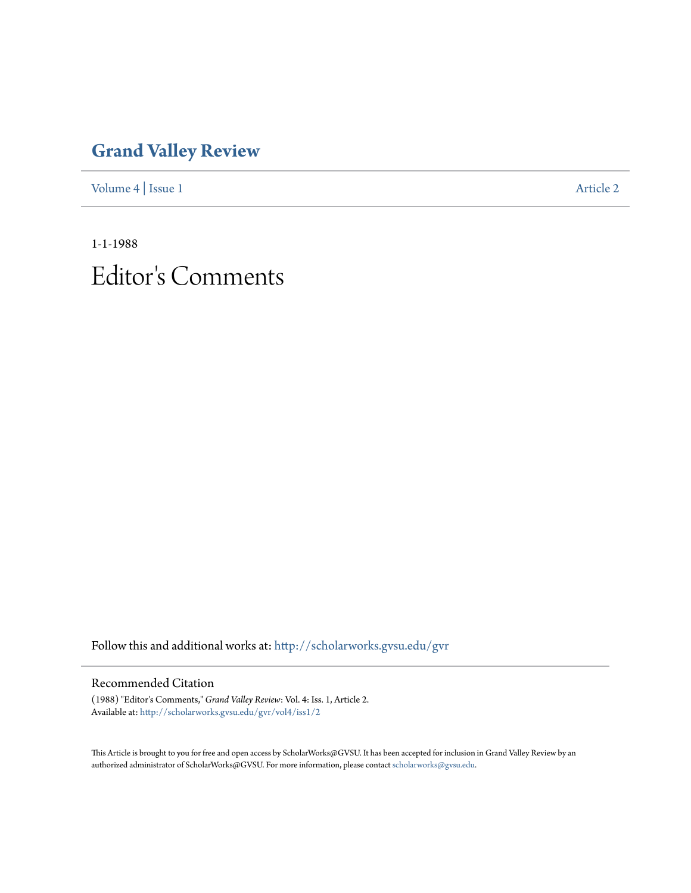## **[Grand Valley Review](http://scholarworks.gvsu.edu/gvr?utm_source=scholarworks.gvsu.edu%2Fgvr%2Fvol4%2Fiss1%2F2&utm_medium=PDF&utm_campaign=PDFCoverPages)**

[Volume 4](http://scholarworks.gvsu.edu/gvr/vol4?utm_source=scholarworks.gvsu.edu%2Fgvr%2Fvol4%2Fiss1%2F2&utm_medium=PDF&utm_campaign=PDFCoverPages) | [Issue 1](http://scholarworks.gvsu.edu/gvr/vol4/iss1?utm_source=scholarworks.gvsu.edu%2Fgvr%2Fvol4%2Fiss1%2F2&utm_medium=PDF&utm_campaign=PDFCoverPages) [Article 2](http://scholarworks.gvsu.edu/gvr/vol4/iss1/2?utm_source=scholarworks.gvsu.edu%2Fgvr%2Fvol4%2Fiss1%2F2&utm_medium=PDF&utm_campaign=PDFCoverPages)

1-1-1988 Editor 's Comments

Follow this and additional works at: [http://scholarworks.gvsu.edu/gvr](http://scholarworks.gvsu.edu/gvr?utm_source=scholarworks.gvsu.edu%2Fgvr%2Fvol4%2Fiss1%2F2&utm_medium=PDF&utm_campaign=PDFCoverPages)

## Recommended Citation

(1988) "Editor's Comments," *Grand Valley Review*: Vol. 4: Iss. 1, Article 2. Available at: [http://scholarworks.gvsu.edu/gvr/vol4/iss1/2](http://scholarworks.gvsu.edu/gvr/vol4/iss1/2?utm_source=scholarworks.gvsu.edu%2Fgvr%2Fvol4%2Fiss1%2F2&utm_medium=PDF&utm_campaign=PDFCoverPages)

This Article is brought to you for free and open access by ScholarWorks@GVSU. It has been accepted for inclusion in Grand Valley Review by an authorized administrator of ScholarWorks@GVSU. For more information, please contact [scholarworks@gvsu.edu.](mailto:scholarworks@gvsu.edu)